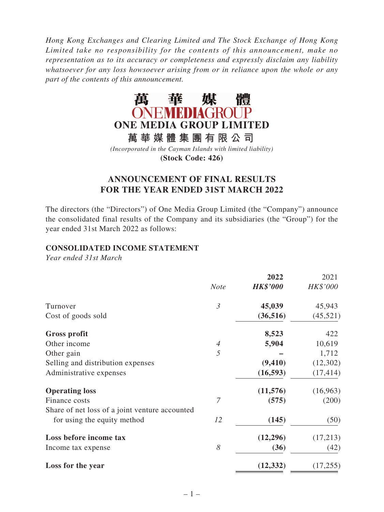*Hong Kong Exchanges and Clearing Limited and The Stock Exchange of Hong Kong Limited take no responsibility for the contents of this announcement, make no representation as to its accuracy or completeness and expressly disclaim any liability whatsoever for any loss howsoever arising from or in reliance upon the whole or any part of the contents of this announcement.*



*(Incorporated in the Cayman Islands with limited liability)* **(Stock Code: 426)**

# **ANNOUNCEMENT OF FINAL RESULTS FOR THE YEAR ENDED 31ST MARCH 2022**

The directors (the "Directors") of One Media Group Limited (the "Company") announce the consolidated final results of the Company and its subsidiaries (the "Group") for the year ended 31st March 2022 as follows:

### **CONSOLIDATED INCOME STATEMENT**

*Year ended 31st March*

|                | 2022            | 2021      |
|----------------|-----------------|-----------|
| <b>Note</b>    | <b>HK\$'000</b> | HK\$'000  |
| $\mathfrak{Z}$ | 45,039          | 45,943    |
|                | (36, 516)       | (45, 521) |
|                | 8,523           | 422       |
| 4              | 5,904           | 10,619    |
| 5              |                 | 1,712     |
|                | (9, 410)        | (12,302)  |
|                | (16, 593)       | (17, 414) |
|                | (11,576)        | (16,963)  |
| 7              | (575)           | (200)     |
|                |                 |           |
| 12             | (145)           | (50)      |
|                | (12, 296)       | (17,213)  |
| 8              | (36)            | (42)      |
|                | (12, 332)       | (17, 255) |
|                |                 |           |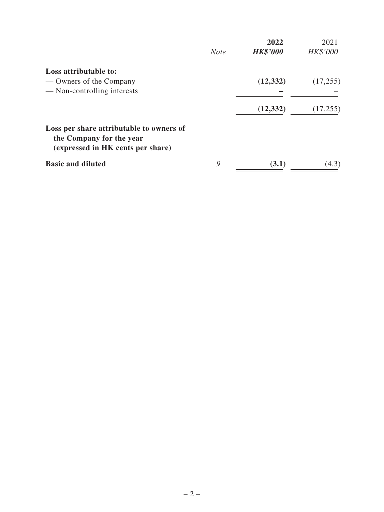|                                                                                                           |             | 2022            | 2021     |
|-----------------------------------------------------------------------------------------------------------|-------------|-----------------|----------|
|                                                                                                           | <b>Note</b> | <b>HK\$'000</b> | HK\$'000 |
| Loss attributable to:                                                                                     |             |                 |          |
| — Owners of the Company                                                                                   |             | (12, 332)       | (17,255) |
| — Non-controlling interests                                                                               |             |                 |          |
|                                                                                                           |             | (12, 332)       | (17,255) |
| Loss per share attributable to owners of<br>the Company for the year<br>(expressed in HK cents per share) |             |                 |          |
| <b>Basic and diluted</b>                                                                                  | 9           | (3.1)           | (4.3)    |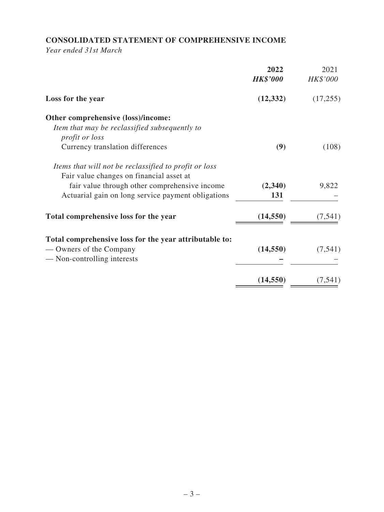# **CONSOLIDATED STATEMENT OF COMPREHENSIVE INCOME**

*Year ended 31st March*

| 2022<br><b>HK\$'000</b> | 2021<br>HK\$'000              |
|-------------------------|-------------------------------|
| (12, 332)               | (17,255)                      |
|                         |                               |
|                         |                               |
|                         |                               |
|                         | (108)                         |
|                         |                               |
|                         |                               |
| (2,340)                 | 9,822                         |
| 131                     |                               |
| (14, 550)               | (7, 541)                      |
|                         |                               |
|                         | (7, 541)                      |
|                         |                               |
|                         | (7, 541)                      |
|                         | (9)<br>(14, 550)<br>(14, 550) |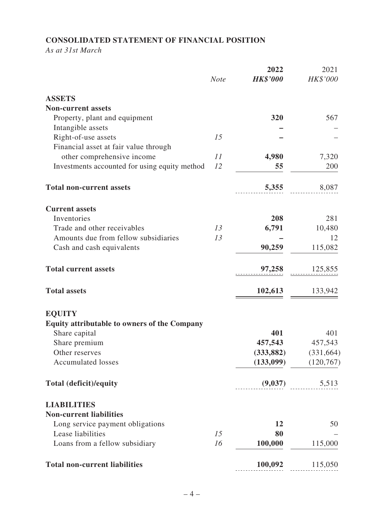# **CONSOLIDATED STATEMENT OF FINANCIAL POSITION**

*As at 31st March*

|                                                     |             | 2022            | 2021       |
|-----------------------------------------------------|-------------|-----------------|------------|
|                                                     | <b>Note</b> | <b>HK\$'000</b> | HK\$'000   |
| <b>ASSETS</b>                                       |             |                 |            |
| <b>Non-current assets</b>                           |             |                 |            |
| Property, plant and equipment                       |             | 320             | 567        |
| Intangible assets                                   |             |                 |            |
| Right-of-use assets                                 | 15          |                 |            |
| Financial asset at fair value through               |             |                 |            |
| other comprehensive income                          | 11          | 4,980           | 7,320      |
| Investments accounted for using equity method       | 12          | 55              | 200        |
| <b>Total non-current assets</b>                     |             | 5,355           | 8,087      |
| <b>Current assets</b>                               |             |                 |            |
| Inventories                                         |             | 208             | 281        |
| Trade and other receivables                         | 13          | 6,791           | 10,480     |
| Amounts due from fellow subsidiaries                | 13          |                 | 12         |
| Cash and cash equivalents                           |             | 90,259          | 115,082    |
| <b>Total current assets</b>                         |             | 97,258          | 125,855    |
| <b>Total assets</b>                                 |             | 102,613         | 133,942    |
| <b>EQUITY</b>                                       |             |                 |            |
| <b>Equity attributable to owners of the Company</b> |             |                 |            |
| Share capital                                       |             | 401             | 401        |
| Share premium                                       |             | 457,543         | 457,543    |
| Other reserves                                      |             | (333, 882)      | (331, 664) |
| <b>Accumulated losses</b>                           |             | (133,099)       | (120, 767) |
| Total (deficit)/equity                              |             | (9,037)         | 5,513      |
| <b>LIABILITIES</b>                                  |             |                 |            |
| <b>Non-current liabilities</b>                      |             |                 |            |
| Long service payment obligations                    |             | 12              | 50         |
| Lease liabilities                                   | 15          | 80              |            |
| Loans from a fellow subsidiary                      | 16          | 100,000         | 115,000    |
| <b>Total non-current liabilities</b>                |             | 100,092         | 115,050    |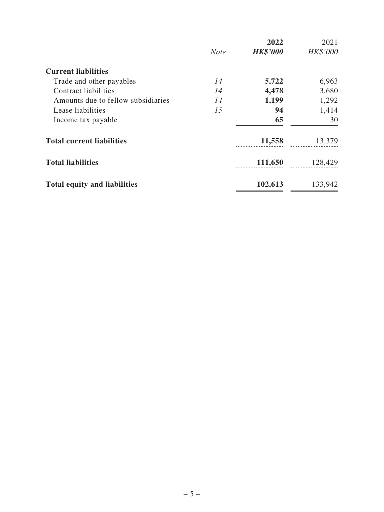|                                     |             | 2022            | 2021     |
|-------------------------------------|-------------|-----------------|----------|
|                                     | <b>Note</b> | <b>HK\$'000</b> | HK\$'000 |
| <b>Current liabilities</b>          |             |                 |          |
| Trade and other payables            | 14          | 5,722           | 6,963    |
| <b>Contract liabilities</b>         | 14          | 4,478           | 3,680    |
| Amounts due to fellow subsidiaries  | 14          | 1,199           | 1,292    |
| Lease liabilities                   | 15          | 94              | 1,414    |
| Income tax payable                  |             | 65              | 30       |
| <b>Total current liabilities</b>    |             | 11,558          | 13,379   |
| <b>Total liabilities</b>            |             | 111,650         | 128,429  |
| <b>Total equity and liabilities</b> |             | 102,613         | 133,942  |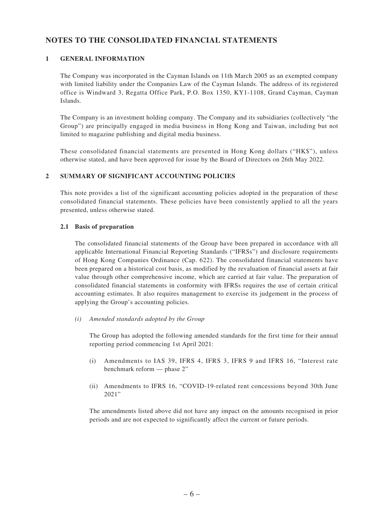## **NOTES TO THE CONSOLIDATED FINANCIAL STATEMENTS**

### **1 GENERAL INFORMATION**

The Company was incorporated in the Cayman Islands on 11th March 2005 as an exempted company with limited liability under the Companies Law of the Cayman Islands. The address of its registered office is Windward 3, Regatta Office Park, P.O. Box 1350, KY1-1108, Grand Cayman, Cayman Islands.

The Company is an investment holding company. The Company and its subsidiaries (collectively "the Group") are principally engaged in media business in Hong Kong and Taiwan, including but not limited to magazine publishing and digital media business.

These consolidated financial statements are presented in Hong Kong dollars ("HK\$"), unless otherwise stated, and have been approved for issue by the Board of Directors on 26th May 2022.

### **2 SUMMARY OF SIGNIFICANT ACCOUNTING POLICIES**

This note provides a list of the significant accounting policies adopted in the preparation of these consolidated financial statements. These policies have been consistently applied to all the years presented, unless otherwise stated.

#### **2.1 Basis of preparation**

The consolidated financial statements of the Group have been prepared in accordance with all applicable International Financial Reporting Standards ("IFRSs") and disclosure requirements of Hong Kong Companies Ordinance (Cap. 622). The consolidated financial statements have been prepared on a historical cost basis, as modified by the revaluation of financial assets at fair value through other comprehensive income, which are carried at fair value. The preparation of consolidated financial statements in conformity with IFRSs requires the use of certain critical accounting estimates. It also requires management to exercise its judgement in the process of applying the Group's accounting policies.

*(i) Amended standards adopted by the Group*

The Group has adopted the following amended standards for the first time for their annual reporting period commencing 1st April 2021:

- (i) Amendments to IAS 39, IFRS 4, IFRS 3, IFRS 9 and IFRS 16, "Interest rate benchmark reform — phase 2"
- (ii) Amendments to IFRS 16, "COVID-19-related rent concessions beyond 30th June 2021"

The amendments listed above did not have any impact on the amounts recognised in prior periods and are not expected to significantly affect the current or future periods.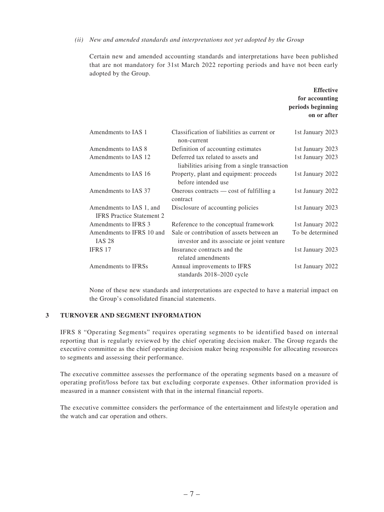#### *(ii) New and amended standards and interpretations not yet adopted by the Group*

Certain new and amended accounting standards and interpretations have been published that are not mandatory for 31st March 2022 reporting periods and have not been early adopted by the Group.

|                                                              |                                                                                          | <b>Effective</b><br>for accounting<br>periods beginning<br>on or after |
|--------------------------------------------------------------|------------------------------------------------------------------------------------------|------------------------------------------------------------------------|
| Amendments to IAS 1                                          | Classification of liabilities as current or<br>non-current                               | 1st January 2023                                                       |
| Amendments to IAS 8                                          | Definition of accounting estimates                                                       | 1st January 2023                                                       |
| Amendments to IAS 12                                         | Deferred tax related to assets and<br>liabilities arising from a single transaction      | 1st January 2023                                                       |
| Amendments to IAS 16                                         | Property, plant and equipment: proceeds<br>before intended use                           | 1st January 2022                                                       |
| Amendments to IAS 37                                         | Onerous contracts — cost of fulfilling a<br>contract                                     | 1st January 2022                                                       |
| Amendments to IAS 1, and<br><b>IFRS</b> Practice Statement 2 | Disclosure of accounting policies                                                        | 1st January 2023                                                       |
| Amendments to IFRS 3                                         | Reference to the conceptual framework                                                    | 1st January 2022                                                       |
| Amendments to IFRS 10 and<br><b>IAS 28</b>                   | Sale or contribution of assets between an<br>investor and its associate or joint venture | To be determined                                                       |
| IFRS 17                                                      | Insurance contracts and the<br>related amendments                                        | 1st January 2023                                                       |
| Amendments to IFRSs                                          | Annual improvements to IFRS<br>standards 2018-2020 cycle                                 | 1st January 2022                                                       |

None of these new standards and interpretations are expected to have a material impact on the Group's consolidated financial statements.

#### **3 TURNOVER AND SEGMENT INFORMATION**

IFRS 8 "Operating Segments" requires operating segments to be identified based on internal reporting that is regularly reviewed by the chief operating decision maker. The Group regards the executive committee as the chief operating decision maker being responsible for allocating resources to segments and assessing their performance.

The executive committee assesses the performance of the operating segments based on a measure of operating profit/loss before tax but excluding corporate expenses. Other information provided is measured in a manner consistent with that in the internal financial reports.

The executive committee considers the performance of the entertainment and lifestyle operation and the watch and car operation and others.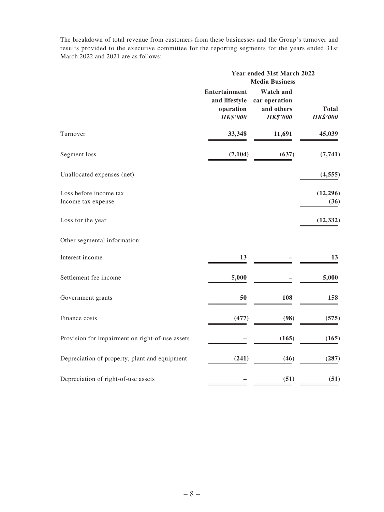The breakdown of total revenue from customers from these businesses and the Group's turnover and results provided to the executive committee for the reporting segments for the years ended 31st March 2022 and 2021 are as follows:

|                                                 |                                                                       | Year ended 31st March 2022<br><b>Media Business</b>                |                                 |  |
|-------------------------------------------------|-----------------------------------------------------------------------|--------------------------------------------------------------------|---------------------------------|--|
|                                                 | <b>Entertainment</b><br>and lifestyle<br>operation<br><b>HK\$'000</b> | <b>Watch and</b><br>car operation<br>and others<br><b>HK\$'000</b> | <b>Total</b><br><b>HK\$'000</b> |  |
| Turnover                                        | 33,348                                                                | 11,691                                                             | 45,039                          |  |
| Segment loss                                    | (7, 104)                                                              | (637)                                                              | (7, 741)                        |  |
| Unallocated expenses (net)                      |                                                                       |                                                                    | (4, 555)                        |  |
| Loss before income tax<br>Income tax expense    |                                                                       |                                                                    | (12, 296)<br>(36)               |  |
| Loss for the year                               |                                                                       |                                                                    | (12, 332)                       |  |
| Other segmental information:                    |                                                                       |                                                                    |                                 |  |
| Interest income                                 | 13                                                                    |                                                                    | 13                              |  |
| Settlement fee income                           | 5,000                                                                 |                                                                    | 5,000                           |  |
| Government grants                               | 50                                                                    | 108                                                                | 158                             |  |
| Finance costs                                   | (477)                                                                 | (98)                                                               | (575)                           |  |
| Provision for impairment on right-of-use assets |                                                                       | (165)                                                              | (165)                           |  |
| Depreciation of property, plant and equipment   | (241)                                                                 | (46)                                                               | (287)                           |  |
| Depreciation of right-of-use assets             |                                                                       | (51)                                                               | (51)                            |  |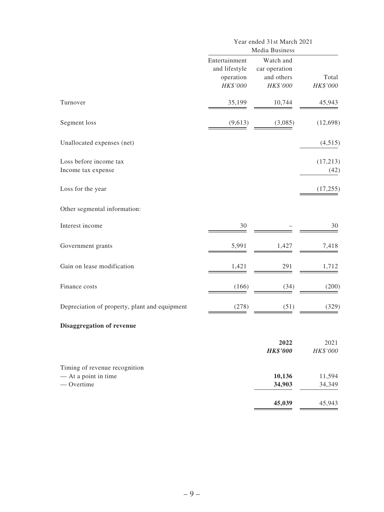|                                                                       |                                                         | Year ended 31st March 2021<br>Media Business         |                     |  |
|-----------------------------------------------------------------------|---------------------------------------------------------|------------------------------------------------------|---------------------|--|
|                                                                       | Entertainment<br>and lifestyle<br>operation<br>HK\$'000 | Watch and<br>car operation<br>and others<br>HK\$'000 | Total<br>$HK\$ '000 |  |
| Turnover                                                              | 35,199                                                  | 10,744                                               | 45,943              |  |
| Segment loss                                                          | (9,613)                                                 | (3,085)                                              | (12,698)            |  |
| Unallocated expenses (net)                                            |                                                         |                                                      | (4,515)             |  |
| Loss before income tax<br>Income tax expense                          |                                                         |                                                      | (17,213)<br>(42)    |  |
| Loss for the year                                                     |                                                         |                                                      | (17, 255)           |  |
| Other segmental information:                                          |                                                         |                                                      |                     |  |
| Interest income                                                       | 30                                                      |                                                      | 30                  |  |
| Government grants                                                     | 5,991                                                   | 1,427                                                | 7,418               |  |
| Gain on lease modification                                            | 1,421                                                   | 291                                                  | 1,712               |  |
| Finance costs                                                         | (166)                                                   | (34)                                                 | (200)               |  |
| Depreciation of property, plant and equipment                         | (278)                                                   | (51)                                                 | (329)               |  |
| Disaggregation of revenue                                             |                                                         |                                                      |                     |  |
|                                                                       |                                                         | 2022<br><b>HK\$'000</b>                              | 2021<br>HK\$'000    |  |
| Timing of revenue recognition<br>- At a point in time<br>$-$ Overtime |                                                         | 10,136<br>34,903                                     | 11,594<br>34,349    |  |
|                                                                       |                                                         | 45,039                                               | 45,943              |  |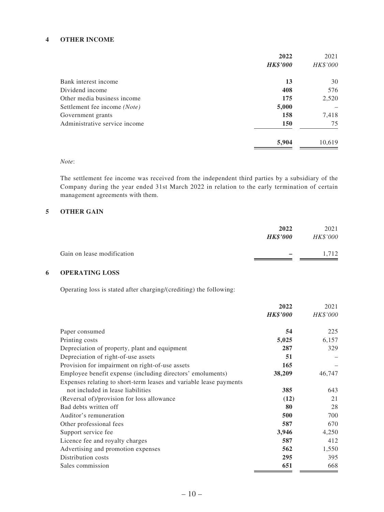#### **4 OTHER INCOME**

|                               | 2022            | 2021     |
|-------------------------------|-----------------|----------|
|                               | <b>HK\$'000</b> | HK\$'000 |
| Bank interest income          | 13              | 30       |
| Dividend income               | 408             | 576      |
| Other media business income   | 175             | 2,520    |
| Settlement fee income (Note)  | 5,000           |          |
| Government grants             | 158             | 7,418    |
| Administrative service income | <b>150</b>      | 75       |
|                               | 5,904           | 10,619   |

### *Note*:

The settlement fee income was received from the independent third parties by a subsidiary of the Company during the year ended 31st March 2022 in relation to the early termination of certain management agreements with them.

### **5 OTHER GAIN**

|                            | 2022<br><b>HK\$'000</b> | 2021<br><i>HK\$'000</i> |
|----------------------------|-------------------------|-------------------------|
| Gain on lease modification |                         | 1.712                   |

### **6 OPERATING LOSS**

Operating loss is stated after charging/(crediting) the following:

|                                                                    | 2022            | 2021     |
|--------------------------------------------------------------------|-----------------|----------|
|                                                                    | <b>HK\$'000</b> | HK\$'000 |
| Paper consumed                                                     | 54              | 225      |
| Printing costs                                                     | 5,025           | 6,157    |
| Depreciation of property, plant and equipment                      | 287             | 329      |
| Depreciation of right-of-use assets                                | 51              |          |
| Provision for impairment on right-of-use assets                    | 165             |          |
| Employee benefit expense (including directors' emoluments)         | 38,209          | 46,747   |
| Expenses relating to short-term leases and variable lease payments |                 |          |
| not included in lease liabilities                                  | 385             | 643      |
| (Reversal of)/provision for loss allowance                         | (12)            | 21       |
| Bad debts written off                                              | 80              | 28       |
| Auditor's remuneration                                             | 500             | 700      |
| Other professional fees                                            | 587             | 670      |
| Support service fee                                                | 3,946           | 4,250    |
| Licence fee and royalty charges                                    | 587             | 412      |
| Advertising and promotion expenses                                 | 562             | 1,550    |
| Distribution costs                                                 | 295             | 395      |
| Sales commission                                                   | 651             | 668      |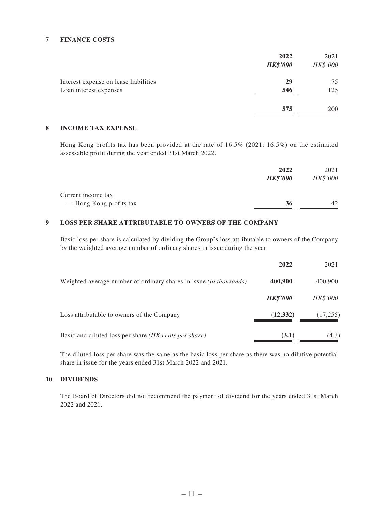#### **7 FINANCE COSTS**

|                                       | 2022            | 2021       |
|---------------------------------------|-----------------|------------|
|                                       | <b>HK\$'000</b> | HK\$'000   |
| Interest expense on lease liabilities | 29              | 75         |
| Loan interest expenses                | 546             | 125        |
|                                       | 575             | <b>200</b> |

### **8 INCOME TAX EXPENSE**

Hong Kong profits tax has been provided at the rate of 16.5% (2021: 16.5%) on the estimated assessable profit during the year ended 31st March 2022.

|                         | 2022            | 2021     |
|-------------------------|-----------------|----------|
|                         | <b>HK\$'000</b> | HK\$'000 |
| Current income tax      |                 |          |
| — Hong Kong profits tax | 36              | 42       |

### **9 LOSS PER SHARE ATTRIBUTABLE TO OWNERS OF THE COMPANY**

Basic loss per share is calculated by dividing the Group's loss attributable to owners of the Company by the weighted average number of ordinary shares in issue during the year.

|                                                                           | 2022            | 2021      |
|---------------------------------------------------------------------------|-----------------|-----------|
| Weighted average number of ordinary shares in issue <i>(in thousands)</i> | 400,900         | 400,900   |
|                                                                           | <b>HK\$'000</b> | HK\$'000  |
| Loss attributable to owners of the Company                                | (12, 332)       | (17, 255) |
| Basic and diluted loss per share (HK cents per share)                     | (3.1)           | (4.3)     |

The diluted loss per share was the same as the basic loss per share as there was no dilutive potential share in issue for the years ended 31st March 2022 and 2021.

#### **10 DIVIDENDS**

The Board of Directors did not recommend the payment of dividend for the years ended 31st March 2022 and 2021.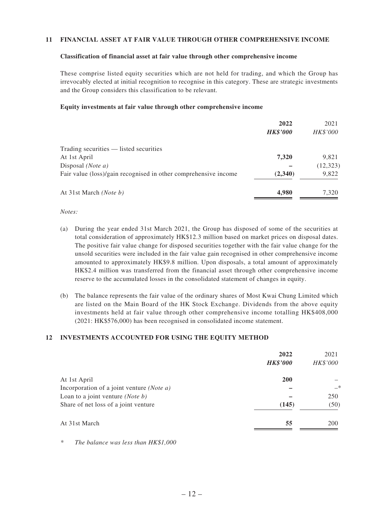#### **11 FINANCIAL ASSET AT FAIR VALUE THROUGH OTHER COMPREHENSIVE INCOME**

#### **Classification of financial asset at fair value through other comprehensive income**

These comprise listed equity securities which are not held for trading, and which the Group has irrevocably elected at initial recognition to recognise in this category. These are strategic investments and the Group considers this classification to be relevant.

#### **Equity investments at fair value through other comprehensive income**

|                                                                 | 2022            | 2021      |
|-----------------------------------------------------------------|-----------------|-----------|
|                                                                 | <b>HK\$'000</b> | HK\$'000  |
| Trading securities — listed securities                          |                 |           |
| At 1st April                                                    | 7,320           | 9,821     |
| Disposal <i>(Note a)</i>                                        |                 | (12, 323) |
| Fair value (loss)/gain recognised in other comprehensive income | (2,340)         | 9,822     |
| At 31st March ( <i>Note b</i> )                                 | 4,980           | 7,320     |

#### *Notes:*

- (a) During the year ended 31st March 2021, the Group has disposed of some of the securities at total consideration of approximately HK\$12.3 million based on market prices on disposal dates. The positive fair value change for disposed securities together with the fair value change for the unsold securities were included in the fair value gain recognised in other comprehensive income amounted to approximately HK\$9.8 million. Upon disposals, a total amount of approximately HK\$2.4 million was transferred from the financial asset through other comprehensive income reserve to the accumulated losses in the consolidated statement of changes in equity.
- (b) The balance represents the fair value of the ordinary shares of Most Kwai Chung Limited which are listed on the Main Board of the HK Stock Exchange. Dividends from the above equity investments held at fair value through other comprehensive income totalling HK\$408,000 (2021: HK\$576,000) has been recognised in consolidated income statement.

#### **12 INVESTMENTS ACCOUNTED FOR USING THE EQUITY METHOD**

| 2022            | 2021     |
|-----------------|----------|
| <b>HK\$'000</b> | HK\$'000 |
| 200             |          |
|                 | $-*$     |
|                 | 250      |
| (145)           | (50)     |
| 55              | 200      |
|                 |          |

*\* The balance was less than HK\$1,000*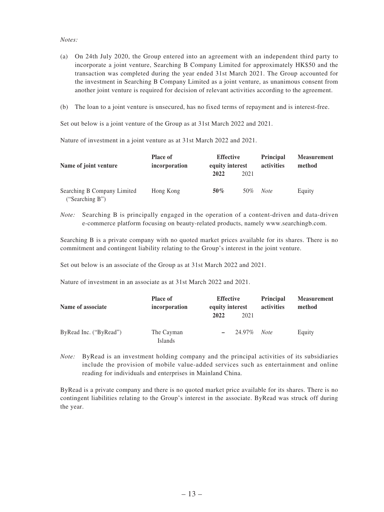#### *Notes:*

- (a) On 24th July 2020, the Group entered into an agreement with an independent third party to incorporate a joint venture, Searching B Company Limited for approximately HK\$50 and the transaction was completed during the year ended 31st March 2021. The Group accounted for the investment in Searching B Company Limited as a joint venture, as unanimous consent from another joint venture is required for decision of relevant activities according to the agreement.
- (b) The loan to a joint venture is unsecured, has no fixed terms of repayment and is interest-free.

Set out below is a joint venture of the Group as at 31st March 2022 and 2021.

Nature of investment in a joint venture as at 31st March 2022 and 2021.

| Name of joint venture                          | <b>Place of</b><br>incorporation | <b>Effective</b><br>equity interest |      | <b>Principal</b><br>activities | <b>Measurement</b><br>method |
|------------------------------------------------|----------------------------------|-------------------------------------|------|--------------------------------|------------------------------|
|                                                |                                  | 2022                                | 2021 |                                |                              |
| Searching B Company Limited<br>("Searching B") | Hong Kong                        | $50\%$                              | 50%  | <b>Note</b>                    | Equity                       |

*Note:* Searching B is principally engaged in the operation of a content-driven and data-driven e-commerce platform focusing on beauty-related products, namely www.searchingb.com.

Searching B is a private company with no quoted market prices available for its shares. There is no commitment and contingent liability relating to the Group's interest in the joint venture.

Set out below is an associate of the Group as at 31st March 2022 and 2021.

Nature of investment in an associate as at 31st March 2022 and 2021.

| Name of associate      | <b>Place of</b><br>incorporation | <b>Effective</b><br>equity interest<br>2022 | 2021   | <b>Principal</b><br>activities | <b>Measurement</b><br>method |
|------------------------|----------------------------------|---------------------------------------------|--------|--------------------------------|------------------------------|
| ByRead Inc. ("ByRead") | The Cayman<br><b>Islands</b>     | $\overline{\phantom{m}}$                    | 24.97% | Note                           | Equity                       |

*Note:* ByRead is an investment holding company and the principal activities of its subsidiaries include the provision of mobile value-added services such as entertainment and online reading for individuals and enterprises in Mainland China.

ByRead is a private company and there is no quoted market price available for its shares. There is no contingent liabilities relating to the Group's interest in the associate. ByRead was struck off during the year.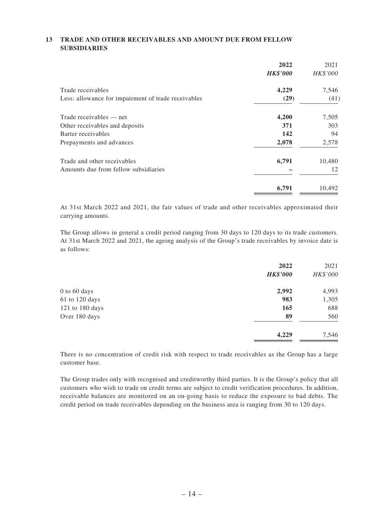### **13 TRADE AND OTHER RECEIVABLES AND AMOUNT DUE FROM FELLOW SUBSIDIARIES**

|                                                     | 2022            | 2021     |
|-----------------------------------------------------|-----------------|----------|
|                                                     | <b>HK\$'000</b> | HK\$'000 |
| Trade receivables                                   | 4,229           | 7,546    |
| Less: allowance for impairment of trade receivables | (29)            | (41)     |
| Trade receivables — net                             | 4,200           | 7,505    |
| Other receivables and deposits                      | 371             | 303      |
| Barter receivables                                  | 142             | 94       |
| Prepayments and advances                            | 2,078           | 2,578    |
| Trade and other receivables                         | 6,791           | 10,480   |
| Amounts due from fellow subsidiaries                |                 | 12       |
|                                                     | 6,791           | 10,492   |

At 31st March 2022 and 2021, the fair values of trade and other receivables approximated their carrying amounts.

The Group allows in general a credit period ranging from 30 days to 120 days to its trade customers. At 31st March 2022 and 2021, the ageing analysis of the Group's trade receivables by invoice date is as follows:

|                 | 2022            | 2021     |
|-----------------|-----------------|----------|
|                 | <b>HK\$'000</b> | HK\$'000 |
| 0 to 60 days    | 2,992           | 4,993    |
| 61 to 120 days  | 983             | 1,305    |
| 121 to 180 days | 165             | 688      |
| Over 180 days   | 89              | 560      |
|                 | 4,229           | 7,546    |
|                 |                 |          |

There is no concentration of credit risk with respect to trade receivables as the Group has a large customer base.

The Group trades only with recognised and creditworthy third parties. It is the Group's policy that all customers who wish to trade on credit terms are subject to credit verification procedures. In addition, receivable balances are monitored on an on-going basis to reduce the exposure to bad debts. The credit period on trade receivables depending on the business area is ranging from 30 to 120 days.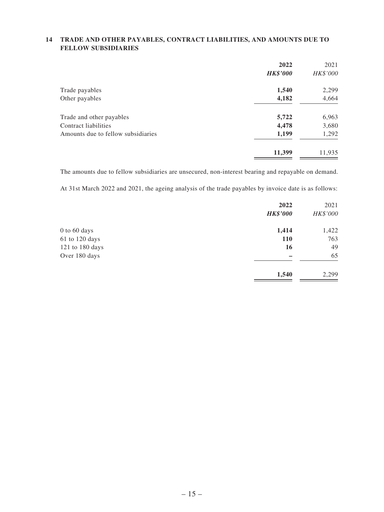### **14 TRADE AND OTHER PAYABLES, CONTRACT LIABILITIES, AND AMOUNTS DUE TO FELLOW SUBSIDIARIES**

|                                    | 2022            | 2021     |
|------------------------------------|-----------------|----------|
|                                    | <b>HK\$'000</b> | HK\$'000 |
| Trade payables                     | 1,540           | 2,299    |
| Other payables                     | 4,182           | 4,664    |
| Trade and other payables           | 5,722           | 6,963    |
| Contract liabilities               | 4,478           | 3,680    |
| Amounts due to fellow subsidiaries | 1,199           | 1,292    |
|                                    | 11,399          | 11,935   |

The amounts due to fellow subsidiaries are unsecured, non-interest bearing and repayable on demand.

At 31st March 2022 and 2021, the ageing analysis of the trade payables by invoice date is as follows:

|                 | 2022            | 2021     |
|-----------------|-----------------|----------|
|                 | <b>HK\$'000</b> | HK\$'000 |
| 0 to 60 days    | 1,414           | 1,422    |
| 61 to 120 days  | 110             | 763      |
| 121 to 180 days | 16              | 49       |
| Over 180 days   |                 | 65       |
|                 | 1,540           | 2,299    |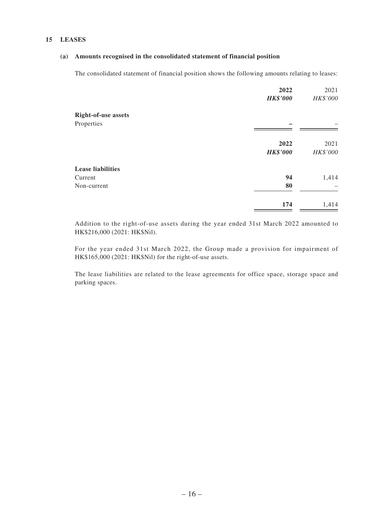#### **15 LEASES**

#### **(a) Amounts recognised in the consolidated statement of financial position**

The consolidated statement of financial position shows the following amounts relating to leases:

|                            | 2022<br><b>HK\$'000</b> | 2021<br>HK\$'000 |
|----------------------------|-------------------------|------------------|
| <b>Right-of-use assets</b> |                         |                  |
| Properties                 |                         |                  |
|                            | 2022<br><b>HK\$'000</b> | 2021<br>HK\$'000 |
| <b>Lease liabilities</b>   |                         |                  |
| Current                    | 94                      | 1,414            |
| Non-current                | 80                      |                  |
|                            | 174                     | 1,414            |

Addition to the right-of-use assets during the year ended 31st March 2022 amounted to HK\$216,000 (2021: HK\$Nil).

For the year ended 31st March 2022, the Group made a provision for impairment of HK\$165,000 (2021: HK\$Nil) for the right-of-use assets.

The lease liabilities are related to the lease agreements for office space, storage space and parking spaces.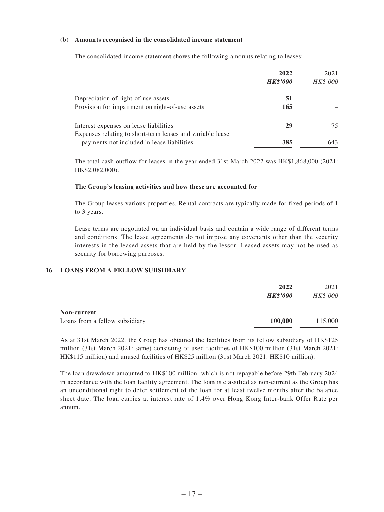#### **(b) Amounts recognised in the consolidated income statement**

The consolidated income statement shows the following amounts relating to leases:

|                                                           | 2022            | 2021     |
|-----------------------------------------------------------|-----------------|----------|
|                                                           | <b>HK\$'000</b> | HK\$'000 |
| Depreciation of right-of-use assets                       | 51              |          |
| Provision for impairment on right-of-use assets           | 165             |          |
| Interest expenses on lease liabilities                    | 29              | 75       |
| Expenses relating to short-term leases and variable lease |                 |          |
| payments not included in lease liabilities                | 385             | 643      |

The total cash outflow for leases in the year ended 31st March 2022 was HK\$1,868,000 (2021: HK\$2,082,000).

#### **The Group's leasing activities and how these are accounted for**

The Group leases various properties. Rental contracts are typically made for fixed periods of 1 to 3 years.

Lease terms are negotiated on an individual basis and contain a wide range of different terms and conditions. The lease agreements do not impose any covenants other than the security interests in the leased assets that are held by the lessor. Leased assets may not be used as security for borrowing purposes.

#### **16 LOANS FROM A FELLOW SUBSIDIARY**

|                                | 2022<br><b>HK\$'000</b> | 2021<br>HK\$'000 |
|--------------------------------|-------------------------|------------------|
| <b>Non-current</b>             |                         |                  |
| Loans from a fellow subsidiary | 100,000                 | 115,000          |

As at 31st March 2022, the Group has obtained the facilities from its fellow subsidiary of HK\$125 million (31st March 2021: same) consisting of used facilities of HK\$100 million (31st March 2021: HK\$115 million) and unused facilities of HK\$25 million (31st March 2021: HK\$10 million).

The loan drawdown amounted to HK\$100 million, which is not repayable before 29th February 2024 in accordance with the loan facility agreement. The loan is classified as non-current as the Group has an unconditional right to defer settlement of the loan for at least twelve months after the balance sheet date. The loan carries at interest rate of 1.4% over Hong Kong Inter-bank Offer Rate per annum.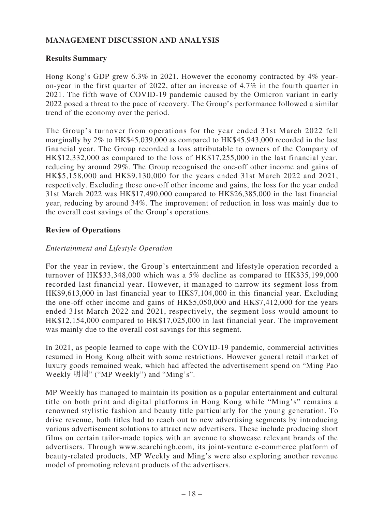# **MANAGEMENT DISCUSSION AND ANALYSIS**

## **Results Summary**

Hong Kong's GDP grew 6.3% in 2021. However the economy contracted by 4% yearon-year in the first quarter of 2022, after an increase of 4.7% in the fourth quarter in 2021. The fifth wave of COVID-19 pandemic caused by the Omicron variant in early 2022 posed a threat to the pace of recovery. The Group's performance followed a similar trend of the economy over the period.

The Group's turnover from operations for the year ended 31st March 2022 fell marginally by 2% to HK\$45,039,000 as compared to HK\$45,943,000 recorded in the last financial year. The Group recorded a loss attributable to owners of the Company of HK\$12,332,000 as compared to the loss of HK\$17,255,000 in the last financial year, reducing by around 29%. The Group recognised the one-off other income and gains of HK\$5,158,000 and HK\$9,130,000 for the years ended 31st March 2022 and 2021, respectively. Excluding these one-off other income and gains, the loss for the year ended 31st March 2022 was HK\$17,490,000 compared to HK\$26,385,000 in the last financial year, reducing by around 34%. The improvement of reduction in loss was mainly due to the overall cost savings of the Group's operations.

## **Review of Operations**

### *Entertainment and Lifestyle Operation*

For the year in review, the Group's entertainment and lifestyle operation recorded a turnover of HK\$33,348,000 which was a 5% decline as compared to HK\$35,199,000 recorded last financial year. However, it managed to narrow its segment loss from HK\$9,613,000 in last financial year to HK\$7,104,000 in this financial year. Excluding the one-off other income and gains of HK\$5,050,000 and HK\$7,412,000 for the years ended 31st March 2022 and 2021, respectively, the segment loss would amount to HK\$12,154,000 compared to HK\$17,025,000 in last financial year. The improvement was mainly due to the overall cost savings for this segment.

In 2021, as people learned to cope with the COVID-19 pandemic, commercial activities resumed in Hong Kong albeit with some restrictions. However general retail market of luxury goods remained weak, which had affected the advertisement spend on "Ming Pao Weekly 明周" ("MP Weekly") and "Ming's".

MP Weekly has managed to maintain its position as a popular entertainment and cultural title on both print and digital platforms in Hong Kong while "Ming's" remains a renowned stylistic fashion and beauty title particularly for the young generation. To drive revenue, both titles had to reach out to new advertising segments by introducing various advertisement solutions to attract new advertisers. These include producing short films on certain tailor-made topics with an avenue to showcase relevant brands of the advertisers. Through www.searchingb.com, its joint-venture e-commerce platform of beauty-related products, MP Weekly and Ming's were also exploring another revenue model of promoting relevant products of the advertisers.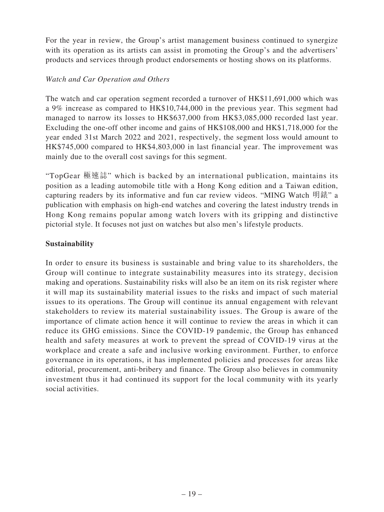For the year in review, the Group's artist management business continued to synergize with its operation as its artists can assist in promoting the Group's and the advertisers' products and services through product endorsements or hosting shows on its platforms.

## *Watch and Car Operation and Others*

The watch and car operation segment recorded a turnover of HK\$11,691,000 which was a 9% increase as compared to HK\$10,744,000 in the previous year. This segment had managed to narrow its losses to HK\$637,000 from HK\$3,085,000 recorded last year. Excluding the one-off other income and gains of HK\$108,000 and HK\$1,718,000 for the year ended 31st March 2022 and 2021, respectively, the segment loss would amount to HK\$745,000 compared to HK\$4,803,000 in last financial year. The improvement was mainly due to the overall cost savings for this segment.

"TopGear 極速誌" which is backed by an international publication, maintains its position as a leading automobile title with a Hong Kong edition and a Taiwan edition, capturing readers by its informative and fun car review videos. "MING Watch 明錶" a publication with emphasis on high-end watches and covering the latest industry trends in Hong Kong remains popular among watch lovers with its gripping and distinctive pictorial style. It focuses not just on watches but also men's lifestyle products.

## **Sustainability**

In order to ensure its business is sustainable and bring value to its shareholders, the Group will continue to integrate sustainability measures into its strategy, decision making and operations. Sustainability risks will also be an item on its risk register where it will map its sustainability material issues to the risks and impact of such material issues to its operations. The Group will continue its annual engagement with relevant stakeholders to review its material sustainability issues. The Group is aware of the importance of climate action hence it will continue to review the areas in which it can reduce its GHG emissions. Since the COVID-19 pandemic, the Group has enhanced health and safety measures at work to prevent the spread of COVID-19 virus at the workplace and create a safe and inclusive working environment. Further, to enforce governance in its operations, it has implemented policies and processes for areas like editorial, procurement, anti-bribery and finance. The Group also believes in community investment thus it had continued its support for the local community with its yearly social activities.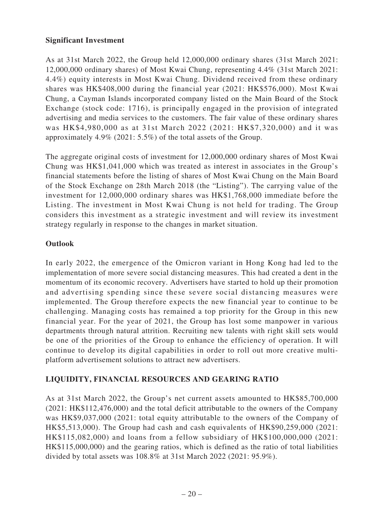## **Significant Investment**

As at 31st March 2022, the Group held 12,000,000 ordinary shares (31st March 2021: 12,000,000 ordinary shares) of Most Kwai Chung, representing 4.4% (31st March 2021: 4.4%) equity interests in Most Kwai Chung. Dividend received from these ordinary shares was HK\$408,000 during the financial year (2021: HK\$576,000). Most Kwai Chung, a Cayman Islands incorporated company listed on the Main Board of the Stock Exchange (stock code: 1716), is principally engaged in the provision of integrated advertising and media services to the customers. The fair value of these ordinary shares was HK\$4,980,000 as at 31st March 2022 (2021: HK\$7,320,000) and it was approximately 4.9% (2021: 5.5%) of the total assets of the Group.

The aggregate original costs of investment for 12,000,000 ordinary shares of Most Kwai Chung was HK\$1,041,000 which was treated as interest in associates in the Group's financial statements before the listing of shares of Most Kwai Chung on the Main Board of the Stock Exchange on 28th March 2018 (the "Listing"). The carrying value of the investment for 12,000,000 ordinary shares was HK\$1,768,000 immediate before the Listing. The investment in Most Kwai Chung is not held for trading. The Group considers this investment as a strategic investment and will review its investment strategy regularly in response to the changes in market situation.

## **Outlook**

In early 2022, the emergence of the Omicron variant in Hong Kong had led to the implementation of more severe social distancing measures. This had created a dent in the momentum of its economic recovery. Advertisers have started to hold up their promotion and advertising spending since these severe social distancing measures were implemented. The Group therefore expects the new financial year to continue to be challenging. Managing costs has remained a top priority for the Group in this new financial year. For the year of 2021, the Group has lost some manpower in various departments through natural attrition. Recruiting new talents with right skill sets would be one of the priorities of the Group to enhance the efficiency of operation. It will continue to develop its digital capabilities in order to roll out more creative multiplatform advertisement solutions to attract new advertisers.

# **LIQUIDITY, FINANCIAL RESOURCES AND GEARING RATIO**

As at 31st March 2022, the Group's net current assets amounted to HK\$85,700,000 (2021: HK\$112,476,000) and the total deficit attributable to the owners of the Company was HK\$9,037,000 (2021: total equity attributable to the owners of the Company of HK\$5,513,000). The Group had cash and cash equivalents of HK\$90,259,000 (2021: HK\$115,082,000) and loans from a fellow subsidiary of HK\$100,000,000 (2021: HK\$115,000,000) and the gearing ratios, which is defined as the ratio of total liabilities divided by total assets was 108.8% at 31st March 2022 (2021: 95.9%).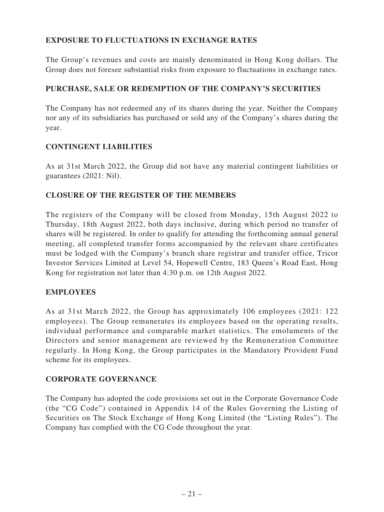# **EXPOSURE TO FLUCTUATIONS IN EXCHANGE RATES**

The Group's revenues and costs are mainly denominated in Hong Kong dollars. The Group does not foresee substantial risks from exposure to fluctuations in exchange rates.

# **PURCHASE, SALE OR REDEMPTION OF THE COMPANY'S SECURITIES**

The Company has not redeemed any of its shares during the year. Neither the Company nor any of its subsidiaries has purchased or sold any of the Company's shares during the year.

## **CONTINGENT LIABILITIES**

As at 31st March 2022, the Group did not have any material contingent liabilities or guarantees (2021: Nil).

# **CLOSURE OF THE REGISTER OF THE MEMBERS**

The registers of the Company will be closed from Monday, 15th August 2022 to Thursday, 18th August 2022, both days inclusive, during which period no transfer of shares will be registered. In order to qualify for attending the forthcoming annual general meeting, all completed transfer forms accompanied by the relevant share certificates must be lodged with the Company's branch share registrar and transfer office, Tricor Investor Services Limited at Level 54, Hopewell Centre, 183 Queen's Road East, Hong Kong for registration not later than 4:30 p.m. on 12th August 2022.

# **EMPLOYEES**

As at 31st March 2022, the Group has approximately 106 employees (2021: 122 employees). The Group remunerates its employees based on the operating results, individual performance and comparable market statistics. The emoluments of the Directors and senior management are reviewed by the Remuneration Committee regularly. In Hong Kong, the Group participates in the Mandatory Provident Fund scheme for its employees.

# **CORPORATE GOVERNANCE**

The Company has adopted the code provisions set out in the Corporate Governance Code (the "CG Code") contained in Appendix 14 of the Rules Governing the Listing of Securities on The Stock Exchange of Hong Kong Limited (the "Listing Rules"). The Company has complied with the CG Code throughout the year.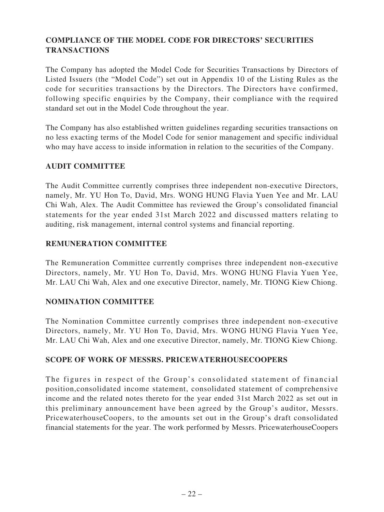# **COMPLIANCE OF THE MODEL CODE FOR DIRECTORS' SECURITIES TRANSACTIONS**

The Company has adopted the Model Code for Securities Transactions by Directors of Listed Issuers (the "Model Code") set out in Appendix 10 of the Listing Rules as the code for securities transactions by the Directors. The Directors have confirmed, following specific enquiries by the Company, their compliance with the required standard set out in the Model Code throughout the year.

The Company has also established written guidelines regarding securities transactions on no less exacting terms of the Model Code for senior management and specific individual who may have access to inside information in relation to the securities of the Company.

## **AUDIT COMMITTEE**

The Audit Committee currently comprises three independent non-executive Directors, namely, Mr. YU Hon To, David, Mrs. WONG HUNG Flavia Yuen Yee and Mr. LAU Chi Wah, Alex. The Audit Committee has reviewed the Group's consolidated financial statements for the year ended 31st March 2022 and discussed matters relating to auditing, risk management, internal control systems and financial reporting.

## **REMUNERATION COMMITTEE**

The Remuneration Committee currently comprises three independent non-executive Directors, namely, Mr. YU Hon To, David, Mrs. WONG HUNG Flavia Yuen Yee, Mr. LAU Chi Wah, Alex and one executive Director, namely, Mr. TIONG Kiew Chiong.

## **NOMINATION COMMITTEE**

The Nomination Committee currently comprises three independent non-executive Directors, namely, Mr. YU Hon To, David, Mrs. WONG HUNG Flavia Yuen Yee, Mr. LAU Chi Wah, Alex and one executive Director, namely, Mr. TIONG Kiew Chiong.

## **SCOPE OF WORK OF MESSRS. PRICEWATERHOUSECOOPERS**

The figures in respect of the Group's consolidated statement of financial position,consolidated income statement, consolidated statement of comprehensive income and the related notes thereto for the year ended 31st March 2022 as set out in this preliminary announcement have been agreed by the Group's auditor, Messrs. PricewaterhouseCoopers, to the amounts set out in the Group's draft consolidated financial statements for the year. The work performed by Messrs. PricewaterhouseCoopers